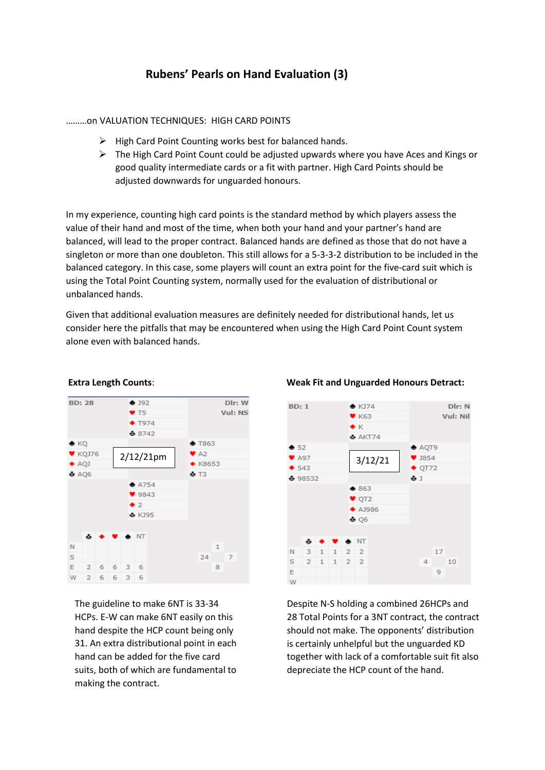# **Rubens' Pearls on Hand Evaluation (3)**

# ………on VALUATION TECHNIQUES: HIGH CARD POINTS

- ➢ High Card Point Counting works best for balanced hands.
- $\triangleright$  The High Card Point Count could be adjusted upwards where you have Aces and Kings or good quality intermediate cards or a fit with partner. High Card Points should be adjusted downwards for unguarded honours.

In my experience, counting high card points is the standard method by which players assess the value of their hand and most of the time, when both your hand and your partner's hand are balanced, will lead to the proper contract. Balanced hands are defined as those that do not have a singleton or more than one doubleton. This still allows for a 5-3-3-2 distribution to be included in the balanced category. In this case, some players will count an extra point for the five-card suit which is using the Total Point Counting system, normally used for the evaluation of distributional or unbalanced hands.

Given that additional evaluation measures are definitely needed for distributional hands, let us consider here the pitfalls that may be encountered when using the High Card Point Count system alone even with balanced hands.



The guideline to make 6NT is 33-34 HCPs. E-W can make 6NT easily on this hand despite the HCP count being only 31. An extra distributional point in each hand can be added for the five card suits, both of which are fundamental to making the contract.





Despite N-S holding a combined 26HCPs and 28 Total Points for a 3NT contract, the contract should not make. The opponents' distribution is certainly unhelpful but the unguarded KD together with lack of a comfortable suit fit also depreciate the HCP count of the hand.